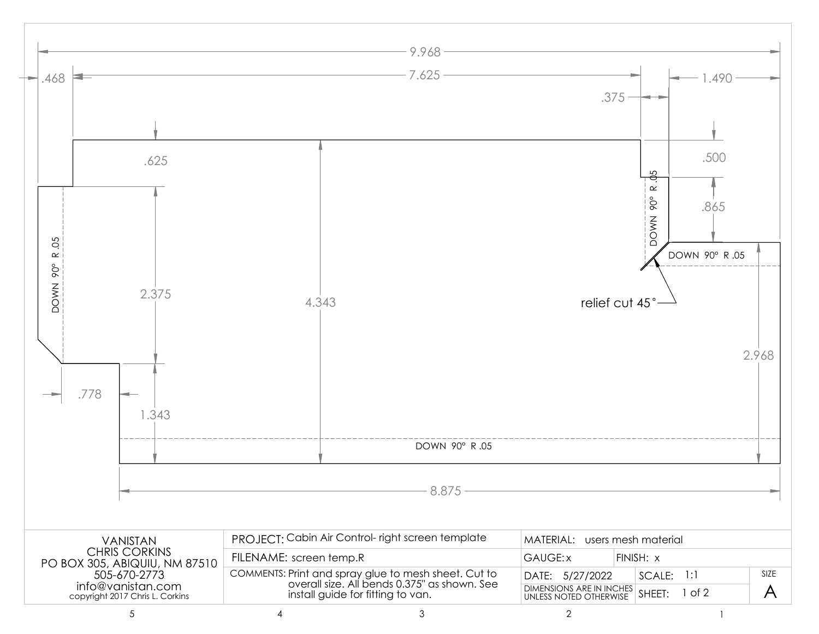